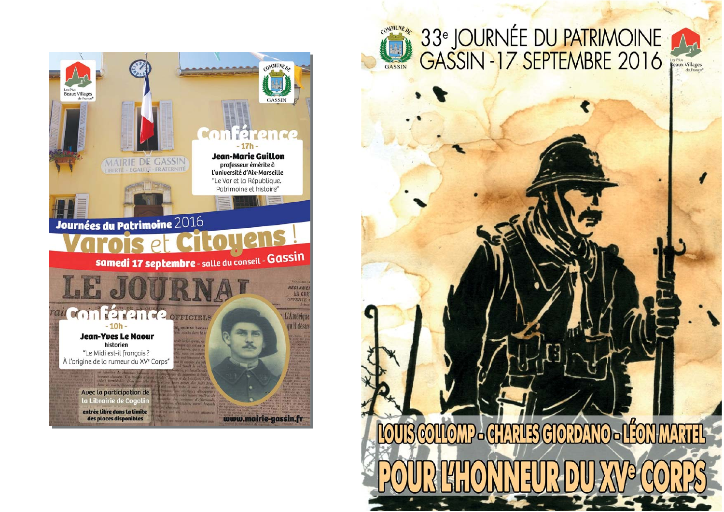

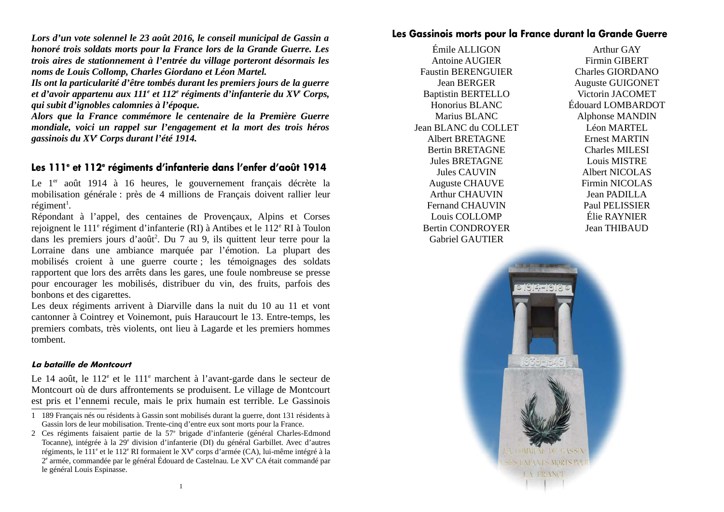Lors d'un vote solennel le 23 août 2016, le conseil municipal de Gassin a honoré trois soldats morts pour la France lors de la Grande Guerre. Les trois aires de stationnement à l'entrée du village porteront désormais les noms de Louis Collomp, Charles Giordano et Léon Martel.

Ils ont la particularité d'être tombés durant les premiers jours de la querre et d'avoir appartenu aux  $111<sup>e</sup>$  et  $112<sup>e</sup>$  régiments d'infanterie du XV<sup>e</sup> Corps, qui subit d'ignobles calomnies à l'époque.

Alors que la France commémore le centenaire de la Première Guerre mondiale, voici un rappel sur l'engagement et la mort des trois héros gassinois du XV<sup>e</sup> Corps durant l'été 1914.

## Les 111<sup>e</sup> et 112<sup>e</sup> régiments d'infanterie dans l'enfer d'août 1914

Le 1<sup>er</sup> août 1914 à 16 heures, le gouvernement français décrète la mobilisation générale : près de 4 millions de Français doivent rallier leur  $r$ égiment<sup>1</sup>.

Répondant à l'appel, des centaines de Provencaux, Alpins et Corses rejoignent le 111<sup>e</sup> régiment d'infanterie (RI) à Antibes et le 112<sup>e</sup> RI à Toulon dans les premiers jours d'août<sup>2</sup>. Du 7 au 9, ils quittent leur terre pour la Lorraine dans une ambiance marquée par l'émotion. La plupart des mobilisés croient à une guerre courte ; les témoignages des soldats rapportent que lors des arrêts dans les gares, une foule nombreuse se presse pour encourager les mobilisés, distribuer du vin, des fruits, parfois des bonbons et des cigarettes.

Les deux régiments arrivent à Diarville dans la nuit du 10 au 11 et vont cantonner à Cointrey et Voinemont, puis Haraucourt le 13. Entre-temps, les premiers combats, très violents, ont lieu à Lagarde et les premiers hommes tombent.

#### La bataille de Montcourt

Le 14 août, le 112<sup>e</sup> et le 111<sup>e</sup> marchent à l'avant-garde dans le secteur de Montcourt où de durs affrontements se produisent. Le village de Montcourt est pris et l'ennemi recule, mais le prix humain est terrible. Le Gassinois

## Les Gassinois morts pour la France durant la Grande Guerre

Émile ALLIGON **Antoine AUGIER Faustin BERENGUIER Jean BERGER Baptistin BERTELLO** Honorius BLANC Marius BLANC Jean BLANC du COLLET **Albert BRETAGNE Bertin BRETAGNE Jules BRETAGNE** Jules CAUVIN **Auguste CHAUVE Arthur CHAUVIN Fernand CHAUVIN** Louis COLLOMP **Bertin CONDROYER Gabriel GAUTIER** 

Arthur GAY **Firmin GIBERT** Charles GIORDANO **Auguste GUIGONET** Victorin JACOMET Édouard LOMBARDOT **Alphonse MANDIN Léon MARTEL Ernest MARTIN Charles MILESI Louis MISTRE** Albert NICOLAS **Firmin NICOLAS** Jean PADILLA **Paul PELISSIER** Élie RAYNIER **Jean THIBAUD** 



<sup>1 189</sup> Français nés ou résidents à Gassin sont mobilisés durant la guerre, dont 131 résidents à Gassin lors de leur mobilisation. Trente-cinq d'entre eux sont morts pour la France.

<sup>2</sup> Ces régiments faisaient partie de la 57<sup>e</sup> brigade d'infanterie (général Charles-Edmond Tocanne), intégrée à la 29<sup>e</sup> division d'infanterie (DI) du général Garbillet. Avec d'autres régiments, le 111<sup>e</sup> et le 112<sup>e</sup> RI formaient le XV<sup>e</sup> corps d'armée (CA), lui-même intégré à la  $2^e$  armée, commandée par le général Édouard de Castelnau. Le  $XV^e$  CA était commandé par le général Louis Espinasse.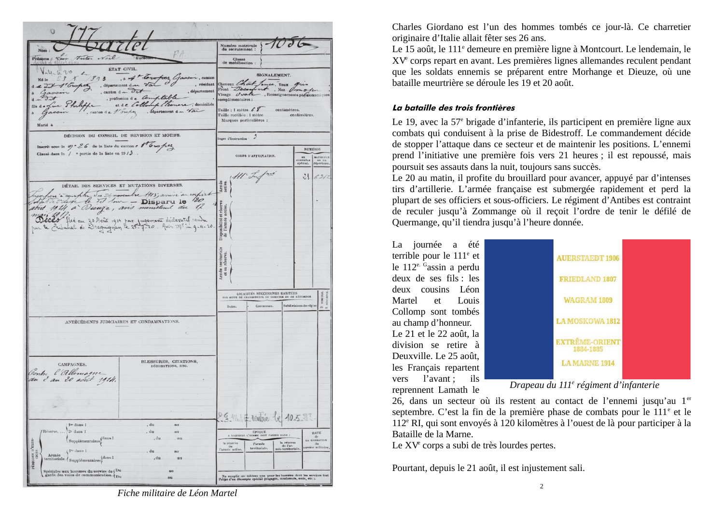| Nom:                                                                                                                                                                                               |                                                                                                                                                              | Numéro matricule<br>du recrutement :                                                                                                                  |                                                                                                            |                        |                                            |
|----------------------------------------------------------------------------------------------------------------------------------------------------------------------------------------------------|--------------------------------------------------------------------------------------------------------------------------------------------------------------|-------------------------------------------------------------------------------------------------------------------------------------------------------|------------------------------------------------------------------------------------------------------------|------------------------|--------------------------------------------|
| With Noil<br>Prénoms: teur                                                                                                                                                                         | Surnon                                                                                                                                                       | Classe<br>de mobilisation:                                                                                                                            |                                                                                                            |                        |                                            |
| ETAT CIVIL.<br>20<br>$4 - 6$<br>$\overline{3}$<br>Né le<br>, département d<br>1' Cropes<br>, canton $d = \partial d$<br>fils d =<br>canton de 1 broken<br>Marié à                                  | 893, in At Torofros Gassin, canton<br>, résidant<br>, département<br>profession de Comptable<br>Leonare, domiciliés<br>et de Collos<br>. département d n Van | Cheveux Chart. Jon<br>Front Deco<br>Visage Ova<br>complémentaires :<br>Taille : 1 mètre $68$<br>Taille rectifiée : 1 mètre<br>Marques particulières : | SIGNALEMENT.<br>ce, Yeux<br>unt, Nez Omoton<br>- , Renseignements physionomiques<br>centimètres.           | centimètres.           |                                            |
| DÉCISION DU CONSEIL DE REVISION ET MOTIFS.                                                                                                                                                         |                                                                                                                                                              | Degré d'isstruction                                                                                                                                   | 3                                                                                                          |                        |                                            |
| Inscrit sous la 9 <sup>-26</sup> de la liste du canton e 800 pez                                                                                                                                   |                                                                                                                                                              |                                                                                                                                                       |                                                                                                            |                        | <b>NUMEROS</b>                             |
| Classé dans la / e partie de la liste en 19 / $\delta$                                                                                                                                             |                                                                                                                                                              |                                                                                                                                                       | CORPS D'AFFECTATION.                                                                                       | 89<br>convendamente    | MATRICULE<br>répertoire.                   |
| reachers a compter Ju 26 novembre 1913; avait an corport<br>Beces Pixé au 20 Août 1914 par jugement déclaratif rendu<br>par le Bribahal de Draguignan le 25-7-20. Avis Me lu g-11-20               |                                                                                                                                                              | Armée<br>activo.<br>Disponibilité et réserve<br>de l'armée active.<br>Armée territoriale<br>et sa réserve.<br>Dates.                                  | <b>LOCALITÉS SUCCESSIVES HABITÉES</b><br>PAR SUITE DE CHANGEMENTS DE DOMICILE OU DE RÉSIDENCE<br>Commuses. | Subdivisions de région | <b>DOMICILE</b><br>$\Rightarrow$ $\approx$ |
|                                                                                                                                                                                                    |                                                                                                                                                              |                                                                                                                                                       |                                                                                                            |                        |                                            |
| ANTÉCÉDENTS JUDICIAIRES ET CONDAMNATIONS.<br>CAMPAGNES.<br>Contre l'Allemagne<br>fre dans 1<br>Réserve.<br>$2e$ dans 1<br>${\Large\bf Supplementary}^{\rm{dans\,1}}$<br>PÅRIODES D'EXER-<br>CIGES. | BLESSURES, CITATIONS,<br>DÉCORATIONS, ETC.<br>, du<br>nu<br>, du<br>$\overline{a}u$<br>, du<br>au                                                            | A EXQUISILE L'HOMME<br>la réserve                                                                                                                     | 29 m 7 rentré le 10533<br>EPOQUE<br>PASSER DANS :<br>DOIT<br>la réserve                                    |                        | <b>DATE</b><br>de<br>LA LIBÉRATION         |

Charles Giordano est l'un des hommes tombés ce jour-là. Ce charretier originaire d'Italie allait fêter ses 26 ans.

Le 15 août, le 111<sup>e</sup> demeure en première ligne à Montcourt. Le lendemain, le XV<sup>e</sup> corps repart en avant. Les premières lignes allemandes reculent pendant que les soldats ennemis se préparent entre Morhange et Dieuze, où une bataille meurtrière se déroule les 19 et 20 août.

#### La bataille des trois frontières

Le 19, avec la 57<sup>e</sup> brigade d'infanterie, ils participent en première ligne aux combats qui conduisent à la prise de Bidestroff. Le commandement décide de stopper l'attaque dans ce secteur et de maintenir les positions. L'ennemi prend l'initiative une première fois vers 21 heures ; il est repoussé, mais poursuit ses assauts dans la nuit, toujours sans succès.

Le 20 au matin, il profite du brouillard pour avancer, appuvé par d'intenses tirs d'artillerie. L'armée française est submergée rapidement et perd la plupart de ses officiers et sous-officiers. Le régiment d'Antibes est contraint de reculer jusqu'à Zommange où il recoit l'ordre de tenir le défilé de Quermange, qu'il tiendra jusqu'à l'heure donnée.

La journée a été terrible pour le 111<sup>e</sup> et le  $112^{e.}$ <sup>G</sup>assin a perdu deux de ses fils : les deux cousins Léon Martel  $_{\mathsf{P}}$ Louis Collomp sont tombés au champ d'honneur. Le 21 et le 22 août, la division se retire à Deuxville, Le 25 août. les Français repartent vers l'avant ; ils reprennent Lamath le



Drapeau du 111<sup>e</sup> régiment d'infanterie

26, dans un secteur où ils restent au contact de l'ennemi jusqu'au 1<sup>er</sup> septembre. C'est la fin de la première phase de combats pour le 111<sup>e</sup> et le 112<sup>e</sup> RI, qui sont envoyés à 120 kilomètres à l'ouest de là pour participer à la Bataille de la Marne.

Le XV<sup>e</sup> corps a subi de très lourdes pertes.

Pourtant, depuis le 21 août, il est injustement sali.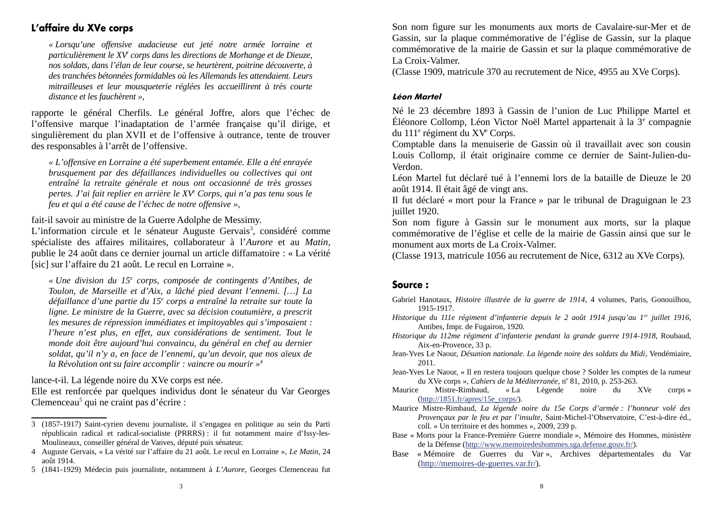# L'affaire du XVe corps

« Lorsqu'une offensive audacieuse eut jeté notre armée lorraine et particulièrement le XV corps dans les directions de Morhange et de Dieuze, nos soldats, dans l'élan de leur course, se heurtèrent, poitrine découverte, à des tranchées bétonnées formidables où les Allemands les attendaient. Leurs mitrailleuses et leur mousqueterie réglées les accueillirent à très courte distance et les fauchèrent »,

rapporte le général Cherfils. Le général Joffre, alors que l'échec de l'offensive marque l'inadaptation de l'armée française qu'il dirige, et singulièrement du plan XVII et de l'offensive à outrance, tente de trouver des responsables à l'arrêt de l'offensive.

« L'offensive en Lorraine a été superbement entamée. Elle a été enrayée brusquement par des défaillances individuelles ou collectives qui ont entraîné la retraite générale et nous ont occasionné de très grosses pertes. J'ai fait replier en arrière le XV<sup>e</sup> Corps, qui n'a pas tenu sous le feu et qui a été cause de l'échec de notre offensive ».

fait-il savoir au ministre de la Guerre Adolphe de Messimy.

L'information circule et le sénateur Auguste Gervais<sup>3</sup>, considéré comme spécialiste des affaires militaires, collaborateur à l'Aurore et au Matin, publie le 24 août dans ce dernier journal un article diffamatoire : « La vérité [sic] sur l'affaire du 21 août. Le recul en Lorraine ».

« Une division du 15<sup>e</sup> corps, composée de contingents d'Antibes, de Toulon, de Marseille et d'Aix, a lâché pied devant l'ennemi. [...] La défaillance d'une partie du 15<sup>e</sup> corps a entraîné la retraite sur toute la ligne. Le ministre de la Guerre, avec sa décision coutumière, a prescrit les mesures de répression immédiates et impitoyables qui s'imposaient : l'heure n'est plus, en effet, aux considérations de sentiment. Tout le monde doit être aujourd'hui convaincu, du général en chef au dernier soldat, qu'il n'y a, en face de l'ennemi, qu'un devoir, que nos aïeux de la Révolution ont su faire accomplir : vaincre ou mourir  $\psi^4$ 

lance-t-il. La légende noire du XVe corps est née.

Elle est renforcée par quelques individus dont le sénateur du Var Georges Clemenceau<sup>5</sup> qui ne craint pas d'écrire :

Son nom figure sur les monuments aux morts de Cavalaire-sur-Mer et de Gassin, sur la plaque commémorative de l'église de Gassin, sur la plaque commémorative de la mairie de Gassin et sur la plaque commémorative de La Croix-Valmer.

(Classe 1909, matricule 370 au recrutement de Nice, 4955 au XVe Corps).

### **Léon Martel**

Né le 23 décembre 1893 à Gassin de l'union de Luc Philippe Martel et Éléonore Collomp, Léon Victor Noël Martel appartenait à la 3<sup>e</sup> compagnie du 111<sup>e</sup> régiment du XV<sup>e</sup> Corps.

Comptable dans la menuiserie de Gassin où il travaillait avec son cousin Louis Collomp, il était originaire comme ce dernier de Saint-Julien-du-Verdon.

Léon Martel fut déclaré tué à l'ennemi lors de la bataille de Dieuze le 20 août 1914. Il était âgé de vingt ans.

Il fut déclaré « mort pour la France » par le tribunal de Draguignan le 23 juillet 1920.

Son nom figure à Gassin sur le monument aux morts, sur la plaque commémorative de l'église et celle de la mairie de Gassin ainsi que sur le monument aux morts de La Croix-Valmer.

(Classe 1913, matricule 1056 au recrutement de Nice, 6312 au XVe Corps).

## Source:

Gabriel Hanotaux, Histoire illustrée de la querre de 1914, 4 volumes, Paris, Gonouilhou, 1915-1917.

- Historique du 111e régiment d'infanterie depuis le 2 août 1914 jusqu'au 1<sup>er</sup> juillet 1916, Antibes, Impr. de Fugairon, 1920.
- Historique du 112me régiment d'infanterie pendant la grande querre 1914-1918, Roubaud, Aix-en-Provence, 33 p.
- Jean-Yves Le Naour, Désunion nationale. La légende noire des soldats du Midi, Vendémiaire,  $2011.$
- Jean-Yves Le Naour, « Il en restera toujours quelque chose ? Solder les comptes de la rumeur du XVe corps ». Cahiers de la Méditerranée, nº 81, 2010, p. 253-263.
- Mistre-Rimbaud, Maurice  $\ll$  La Légende noire du XVe corps »  $(\text{http://1851.fr/apres/15e corps/}).$
- Maurice Mistre-Rimbaud, La légende noire du 15e Corps d'armée : l'honneur volé des Provençaux par le feu et par l'insulte, Saint-Michel-l'Observatoire, C'est-à-dire éd., coll. « Un territoire et des hommes », 2009, 239 p.
- Base « Morts pour la France-Première Guerre mondiale », Mémoire des Hommes, ministère de la Défense (http://www.memoiredeshommes.sga.defense.gouv.fr/).
- Base « Mémoire de Guerres du Var », Archives départementales du Var (http://memoires-de-guerres.var.fr/).

<sup>3 (1857-1917)</sup> Saint-cyrien devenu journaliste, il s'engagea en politique au sein du Parti républicain radical et radical-socialiste (PRRRS) : il fut notamment maire d'Issy-les-Moulineaux, conseiller général de Vanves, député puis sénateur.

<sup>4</sup> Auguste Gervais, « La vérité sur l'affaire du 21 août. Le recul en Lorraine », Le Matin, 24 août 1914.

<sup>5 (1841-1929)</sup> Médecin puis journaliste, notamment à L'Aurore, Georges Clemenceau fut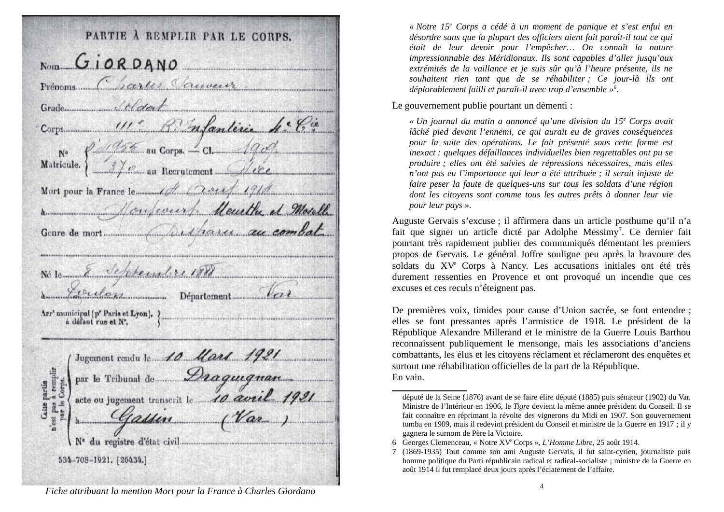|            | $N_{\text{OM}}$ $G$ i OR DANO                           |
|------------|---------------------------------------------------------|
|            | Prénoms Charles Sauveur                                 |
|            | Grade                                                   |
|            | Corps 111er Renderic 4. Ca                              |
|            |                                                         |
| Matricule. | N° 876 au Corps. - Cl. 1909.                            |
|            |                                                         |
|            | a Mosella                                               |
|            | Genre de mort                                           |
| Né le      | Septembre 1888<br>culon<br>Département                  |
|            | Arr' municipal (p'' Paris et Lyon), à défaut rue et N'. |
|            | Jugement rendu le 10 Mars 1921                          |
|            | par le Tribunal de Draquegnan                           |
|            | acte ou jugement transcrit le 10 avril 1921             |
|            | gassion                                                 |
|            |                                                         |
|            | N٠<br>534-708-1921. [26434.]                            |

« Notre 15<sup>e</sup> Corps a cédé à un moment de panique et s'est enfui en désordre sans que la plupart des officiers aient fait paraît-il tout ce qui était de leur devoir pour l'empêcher... On connaît la nature impressionnable des Méridionaux. Ils sont capables d'aller jusqu'aux extrémités de la vaillance et je suis sûr qu'à l'heure présente, ils ne souhaitent rien tant que de se réhabiliter : Ce jour-là ils ont déplorablement failli et paraît-il avec trop d'ensemble  $\psi^6$ .

Le gouvernement publie pourtant un démenti :

« Un journal du matin a annoncé qu'une division du 15<sup>e</sup> Corps avait lâché pied devant l'ennemi, ce qui aurait eu de graves conséquences pour la suite des opérations. Le fait présenté sous cette forme est inexact: quelques défaillances individuelles bien regrettables ont pu se produire ; elles ont été suivies de répressions nécessaires, mais elles n'ont pas eu l'importance qui leur a été attribuée ; il serait injuste de faire peser la faute de quelques-uns sur tous les soldats d'une région dont les citovens sont comme tous les autres prêts à donner leur vie pour leur pays ».

Auguste Gervais s'excuse ; il affirmera dans un article posthume qu'il n'a fait que signer un article dicté par Adolphe Messimy<sup>7</sup>. Ce dernier fait pourtant très rapidement publier des communiqués démentant les premiers propos de Gervais. Le général Joffre souligne peu après la bravoure des soldats du XV<sup>e</sup> Corps à Nancy. Les accusations initiales ont été très durement ressenties en Provence et ont provoqué un incendie que ces excuses et ces reculs n'éteignent pas.

De premières voix, timides pour cause d'Union sacrée, se font entendre : elles se font pressantes après l'armistice de 1918. Le président de la République Alexandre Millerand et le ministre de la Guerre Louis Barthou reconnaissent publiquement le mensonge, mais les associations d'anciens combattants, les élus et les citoyens réclament et réclameront des enquêtes et surtout une réhabilitation officielles de la part de la République. En vain.

Fiche attribuant la mention Mort pour la France à Charles Giordano

député de la Seine (1876) avant de se faire élire député (1885) puis sénateur (1902) du Var. Ministre de l'Intérieur en 1906, le Tigre devient la même année président du Conseil. Il se fait connaître en réprimant la révolte des vignerons du Midi en 1907. Son gouvernement tomba en 1909, mais il redevint président du Conseil et ministre de la Guerre en 1917 ; il y gagnera le surnom de Père la Victoire.

<sup>6</sup> Georges Clemenceau, « Notre XV<sup>e</sup> Corps », L'Homme Libre, 25 août 1914.

<sup>7 (1869-1935)</sup> Tout comme son ami Auguste Gervais, il fut saint-cyrien, journaliste puis homme politique du Parti républicain radical et radical-socialiste ; ministre de la Guerre en août 1914 il fut remplacé deux jours après l'éclatement de l'affaire.